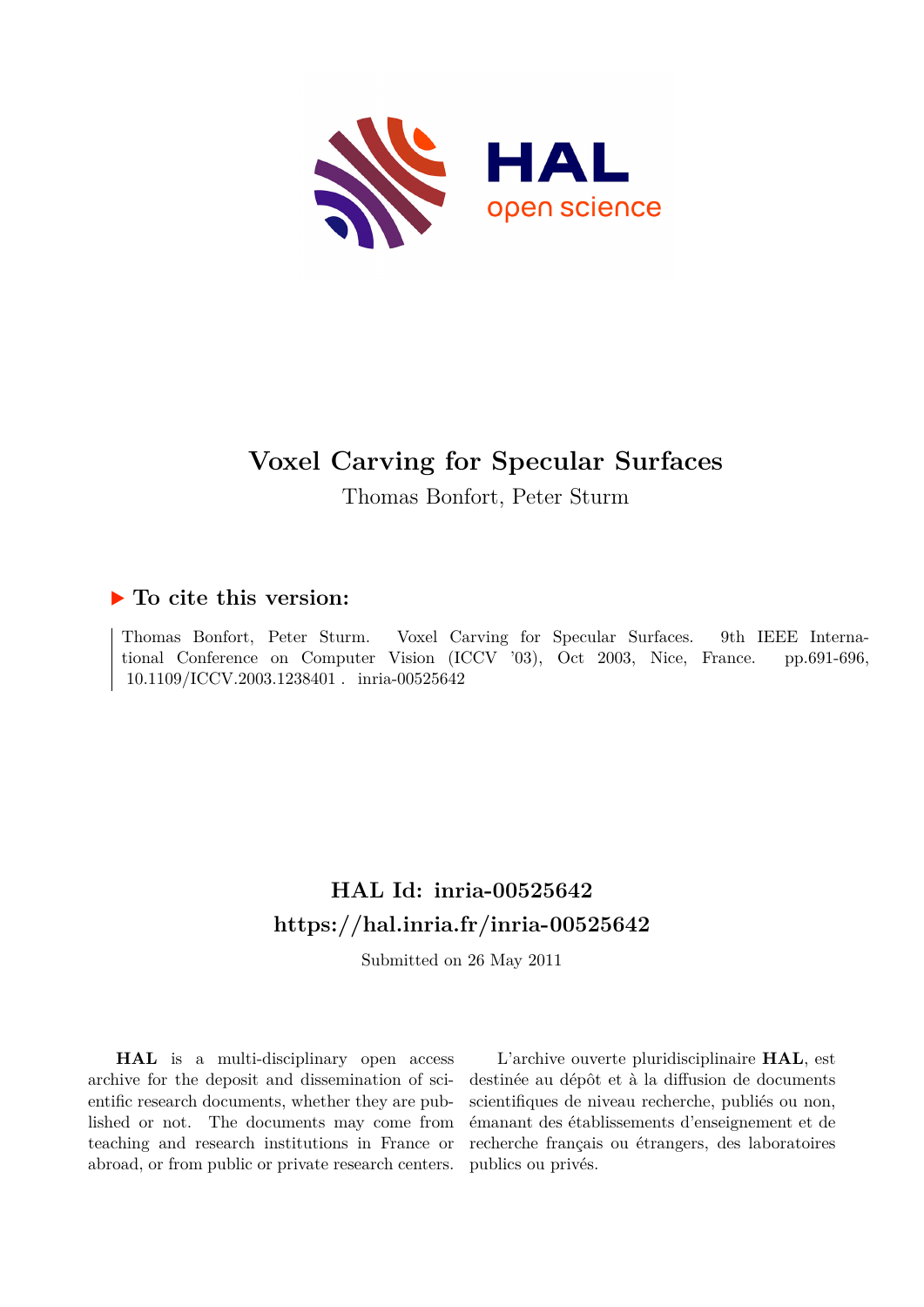

# **Voxel Carving for Specular Surfaces**

Thomas Bonfort, Peter Sturm

# **To cite this version:**

Thomas Bonfort, Peter Sturm. Voxel Carving for Specular Surfaces. 9th IEEE International Conference on Computer Vision (ICCV '03), Oct 2003, Nice, France. pp.691-696,  $10.1109/ICCV.2003.1238401$ . inria-00525642

# **HAL Id: inria-00525642 <https://hal.inria.fr/inria-00525642>**

Submitted on 26 May 2011

**HAL** is a multi-disciplinary open access archive for the deposit and dissemination of scientific research documents, whether they are published or not. The documents may come from teaching and research institutions in France or abroad, or from public or private research centers.

L'archive ouverte pluridisciplinaire **HAL**, est destinée au dépôt et à la diffusion de documents scientifiques de niveau recherche, publiés ou non, émanant des établissements d'enseignement et de recherche français ou étrangers, des laboratoires publics ou privés.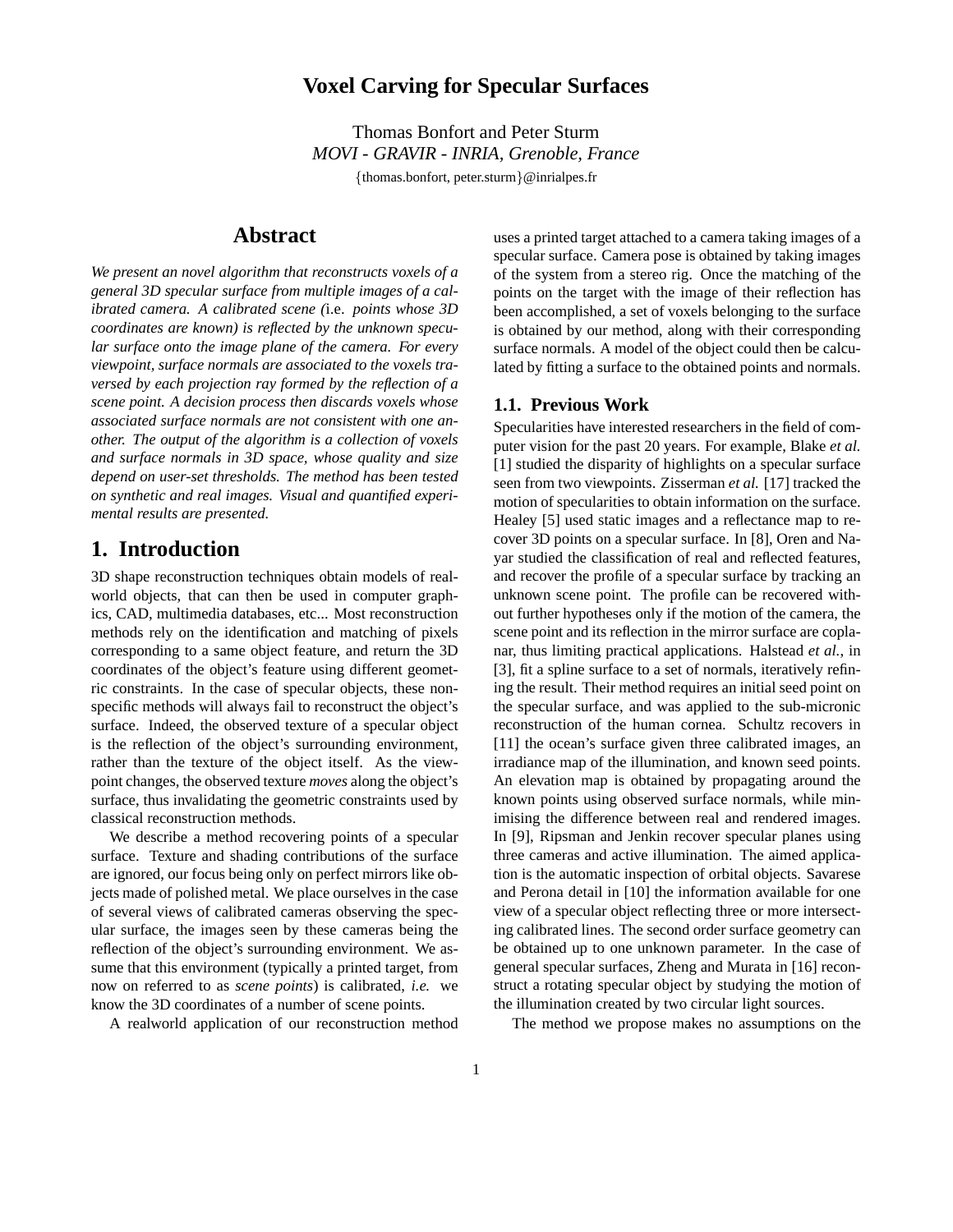# **Voxel Carving for Specular Surfaces**

Thomas Bonfort and Peter Sturm *MOVI - GRAVIR - INRIA, Grenoble, France*

{thomas.bonfort, peter.sturm}@inrialpes.fr

## **Abstract**

*We present an novel algorithm that reconstructs voxels of a general 3D specular surface from multiple images of a calibrated camera. A calibrated scene (*i.e. *points whose 3D coordinates are known) is reflected by the unknown specular surface onto the image plane of the camera. For every viewpoint, surface normals are associated to the voxels traversed by each projection ray formed by the reflection of a scene point. A decision process then discards voxels whose associated surface normals are not consistent with one another. The output of the algorithm is a collection of voxels and surface normals in 3D space, whose quality and size depend on user-set thresholds. The method has been tested on synthetic and real images. Visual and quantified experimental results are presented.*

# **1. Introduction**

3D shape reconstruction techniques obtain models of realworld objects, that can then be used in computer graphics, CAD, multimedia databases, etc... Most reconstruction methods rely on the identification and matching of pixels corresponding to a same object feature, and return the 3D coordinates of the object's feature using different geometric constraints. In the case of specular objects, these nonspecific methods will always fail to reconstruct the object's surface. Indeed, the observed texture of a specular object is the reflection of the object's surrounding environment, rather than the texture of the object itself. As the viewpoint changes, the observed texture *moves* along the object's surface, thus invalidating the geometric constraints used by classical reconstruction methods.

We describe a method recovering points of a specular surface. Texture and shading contributions of the surface are ignored, our focus being only on perfect mirrors like objects made of polished metal. We place ourselves in the case of several views of calibrated cameras observing the specular surface, the images seen by these cameras being the reflection of the object's surrounding environment. We assume that this environment (typically a printed target, from now on referred to as *scene points*) is calibrated, *i.e.* we know the 3D coordinates of a number of scene points.

A realworld application of our reconstruction method

uses a printed target attached to a camera taking images of a specular surface. Camera pose is obtained by taking images of the system from a stereo rig. Once the matching of the points on the target with the image of their reflection has been accomplished, a set of voxels belonging to the surface is obtained by our method, along with their corresponding surface normals. A model of the object could then be calculated by fitting a surface to the obtained points and normals.

#### **1.1. Previous Work**

Specularities have interested researchers in the field of computer vision for the past 20 years. For example, Blake *et al.* [1] studied the disparity of highlights on a specular surface seen from two viewpoints. Zisserman *et al.* [17] tracked the motion of specularities to obtain information on the surface. Healey [5] used static images and a reflectance map to recover 3D points on a specular surface. In [8], Oren and Nayar studied the classification of real and reflected features, and recover the profile of a specular surface by tracking an unknown scene point. The profile can be recovered without further hypotheses only if the motion of the camera, the scene point and its reflection in the mirror surface are coplanar, thus limiting practical applications. Halstead *et al.*, in [3], fit a spline surface to a set of normals, iteratively refining the result. Their method requires an initial seed point on the specular surface, and was applied to the sub-micronic reconstruction of the human cornea. Schultz recovers in [11] the ocean's surface given three calibrated images, an irradiance map of the illumination, and known seed points. An elevation map is obtained by propagating around the known points using observed surface normals, while minimising the difference between real and rendered images. In [9], Ripsman and Jenkin recover specular planes using three cameras and active illumination. The aimed application is the automatic inspection of orbital objects. Savarese and Perona detail in [10] the information available for one view of a specular object reflecting three or more intersecting calibrated lines. The second order surface geometry can be obtained up to one unknown parameter. In the case of general specular surfaces, Zheng and Murata in [16] reconstruct a rotating specular object by studying the motion of the illumination created by two circular light sources.

The method we propose makes no assumptions on the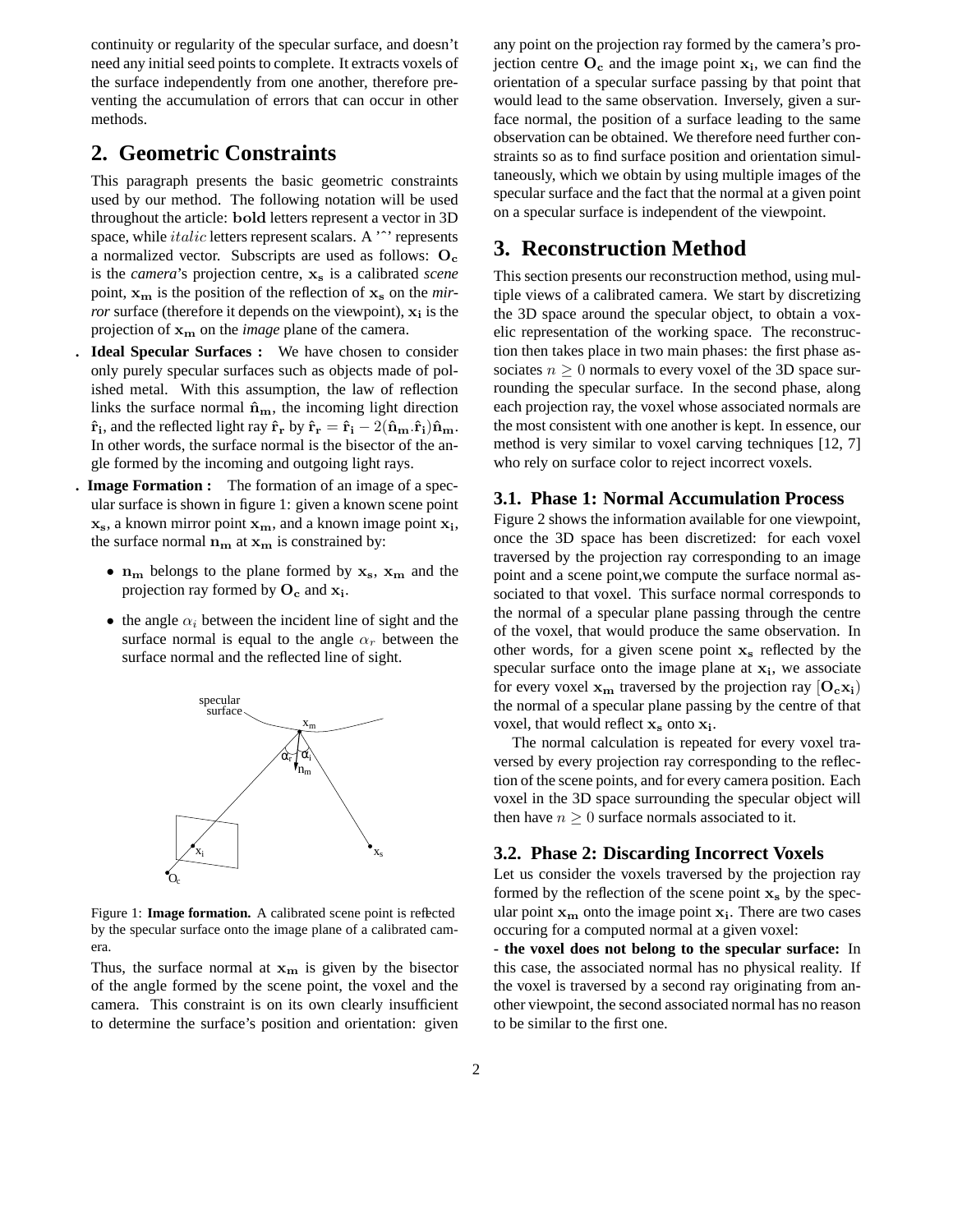continuity or regularity of the specular surface, and doesn't need any initial seed points to complete. It extracts voxels of the surface independently from one another, therefore preventing the accumulation of errors that can occur in other methods.

### **2. Geometric Constraints**

This paragraph presents the basic geometric constraints used by our method. The following notation will be used throughout the article: bold letters represent a vector in 3D space, while *italic* letters represent scalars. A  $\cdot\cdot\cdot$  represents a normalized vector. Subscripts are used as follows: O<sub>c</sub> is the *camera*'s projection centre,  $x_s$  is a calibrated *scene* point,  $x_m$  is the position of the reflection of  $x_s$  on the *mir* $ror$  surface (therefore it depends on the viewpoint),  $x_i$  is the projection of x<sup>m</sup> on the *image* plane of the camera.

**. Ideal Specular Surfaces :** We have chosen to consider only purely specular surfaces such as objects made of polished metal. With this assumption, the law of reflection links the surface normal  $\hat{n}_{m}$ , the incoming light direction  $\hat{\mathbf{r}}_i$ , and the reflected light ray  $\hat{\mathbf{r}}_r$  by  $\hat{\mathbf{r}}_r = \hat{\mathbf{r}}_i - 2(\hat{\mathbf{n}}_m \cdot \hat{\mathbf{r}}_i) \hat{\mathbf{n}}_m$ . In other words, the surface normal is the bisector of the angle formed by the incoming and outgoing light rays.

**. Image Formation :** The formation of an image of a specular surface is shown in figure 1: given a known scene point  $x_s$ , a known mirror point  $x_m$ , and a known image point  $x_i$ , the surface normal  $n_m$  at  $x_m$  is constrained by:

- $n_m$  belongs to the plane formed by  $x_s$ ,  $x_m$  and the projection ray formed by  $O_c$  and  $x_i$ .
- the angle  $\alpha_i$  between the incident line of sight and the surface normal is equal to the angle  $\alpha_r$  between the surface normal and the reflected line of sight.



Figure 1: **Image formation.** A calibrated scene point is reflected by the specular surface onto the image plane of a calibrated camera.

Thus, the surface normal at  $x_m$  is given by the bisector of the angle formed by the scene point, the voxel and the camera. This constraint is on its own clearly insufficient to determine the surface's position and orientation: given any point on the projection ray formed by the camera's projection centre  $O_c$  and the image point  $x_i$ , we can find the orientation of a specular surface passing by that point that would lead to the same observation. Inversely, given a surface normal, the position of a surface leading to the same observation can be obtained. We therefore need further constraints so as to find surface position and orientation simultaneously, which we obtain by using multiple images of the specular surface and the fact that the normal at a given point on a specular surface is independent of the viewpoint.

### **3. Reconstruction Method**

This section presents our reconstruction method, using multiple views of a calibrated camera. We start by discretizing the 3D space around the specular object, to obtain a voxelic representation of the working space. The reconstruction then takes place in two main phases: the first phase associates  $n \geq 0$  normals to every voxel of the 3D space surrounding the specular surface. In the second phase, along each projection ray, the voxel whose associated normals are the most consistent with one another is kept. In essence, our method is very similar to voxel carving techniques [12, 7] who rely on surface color to reject incorrect voxels.

#### **3.1. Phase 1: Normal Accumulation Process**

Figure 2 shows the information available for one viewpoint, once the 3D space has been discretized: for each voxel traversed by the projection ray corresponding to an image point and a scene point,we compute the surface normal associated to that voxel. This surface normal corresponds to the normal of a specular plane passing through the centre of the voxel, that would produce the same observation. In other words, for a given scene point  $x_s$  reflected by the specular surface onto the image plane at  $x_i$ , we associate for every voxel  $x_m$  traversed by the projection ray  $[O_c x_i]$ the normal of a specular plane passing by the centre of that voxel, that would reflect  $\mathbf{x}_s$  onto  $\mathbf{x}_i$ .

The normal calculation is repeated for every voxel traversed by every projection ray corresponding to the reflection of the scene points, and for every camera position. Each voxel in the 3D space surrounding the specular object will then have  $n \geq 0$  surface normals associated to it.

#### **3.2. Phase 2: Discarding Incorrect Voxels**

Let us consider the voxels traversed by the projection ray formed by the reflection of the scene point  $x_s$  by the specular point  $x_m$  onto the image point  $x_i$ . There are two cases occuring for a computed normal at a given voxel:

**- the voxel does not belong to the specular surface:** In this case, the associated normal has no physical reality. If the voxel is traversed by a second ray originating from another viewpoint, the second associated normal has no reason to be similar to the first one.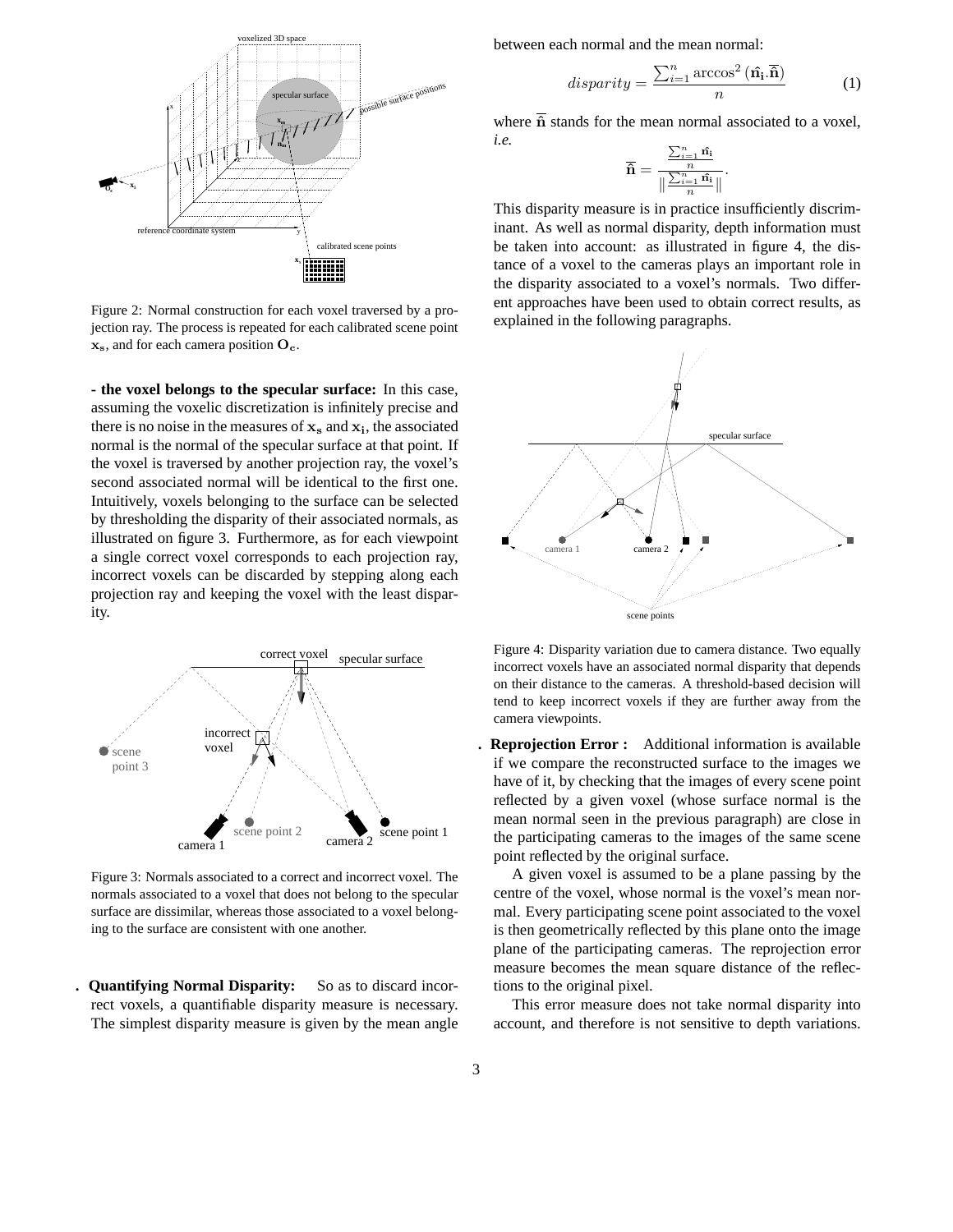

Figure 2: Normal construction for each voxel traversed by a projection ray. The process is repeated for each calibrated scene point  $x_s$ , and for each camera position  $O_c$ .

**- the voxel belongs to the specular surface:** In this case, assuming the voxelic discretization is infinitely precise and there is no noise in the measures of  $x_s$  and  $x_i$ , the associated normal is the normal of the specular surface at that point. If the voxel is traversed by another projection ray, the voxel's second associated normal will be identical to the first one. Intuitively, voxels belonging to the surface can be selected by thresholding the disparity of their associated normals, as illustrated on figure 3. Furthermore, as for each viewpoint a single correct voxel corresponds to each projection ray, incorrect voxels can be discarded by stepping along each projection ray and keeping the voxel with the least disparity.



Figure 3: Normals associated to a correct and incorrect voxel. The normals associated to a voxel that does not belong to the specular surface are dissimilar, whereas those associated to a voxel belonging to the surface are consistent with one another.

**. Quantifying Normal Disparity:** So as to discard incorrect voxels, a quantifiable disparity measure is necessary. The simplest disparity measure is given by the mean angle between each normal and the mean normal:

$$
disparity = \frac{\sum_{i=1}^{n} \arccos^{2} (\hat{\mathbf{n}_{i}}.\overline{\hat{\mathbf{n}}})}{n}
$$
 (1)

.

where  $\overline{\hat{n}}$  stands for the mean normal associated to a voxel, *i.e.*

$$
\overline{\mathbf{\hat{n}}} = \frac{\frac{\sum_{i=1}^{n} \hat{\mathbf{n}_i}}{n}}{\|\frac{\sum_{i=1}^{n} \hat{\mathbf{n}_i}}{n}\|}
$$

This disparity measure is in practice insufficiently discriminant. As well as normal disparity, depth information must be taken into account: as illustrated in figure 4, the distance of a voxel to the cameras plays an important role in the disparity associated to a voxel's normals. Two different approaches have been used to obtain correct results, as explained in the following paragraphs.



Figure 4: Disparity variation due to camera distance. Two equally incorrect voxels have an associated normal disparity that depends on their distance to the cameras. A threshold-based decision will tend to keep incorrect voxels if they are further away from the camera viewpoints.

**. Reprojection Error :** Additional information is available if we compare the reconstructed surface to the images we have of it, by checking that the images of every scene point reflected by a given voxel (whose surface normal is the mean normal seen in the previous paragraph) are close in the participating cameras to the images of the same scene point reflected by the original surface.

A given voxel is assumed to be a plane passing by the centre of the voxel, whose normal is the voxel's mean normal. Every participating scene point associated to the voxel is then geometrically reflected by this plane onto the image plane of the participating cameras. The reprojection error measure becomes the mean square distance of the reflections to the original pixel.

This error measure does not take normal disparity into account, and therefore is not sensitive to depth variations.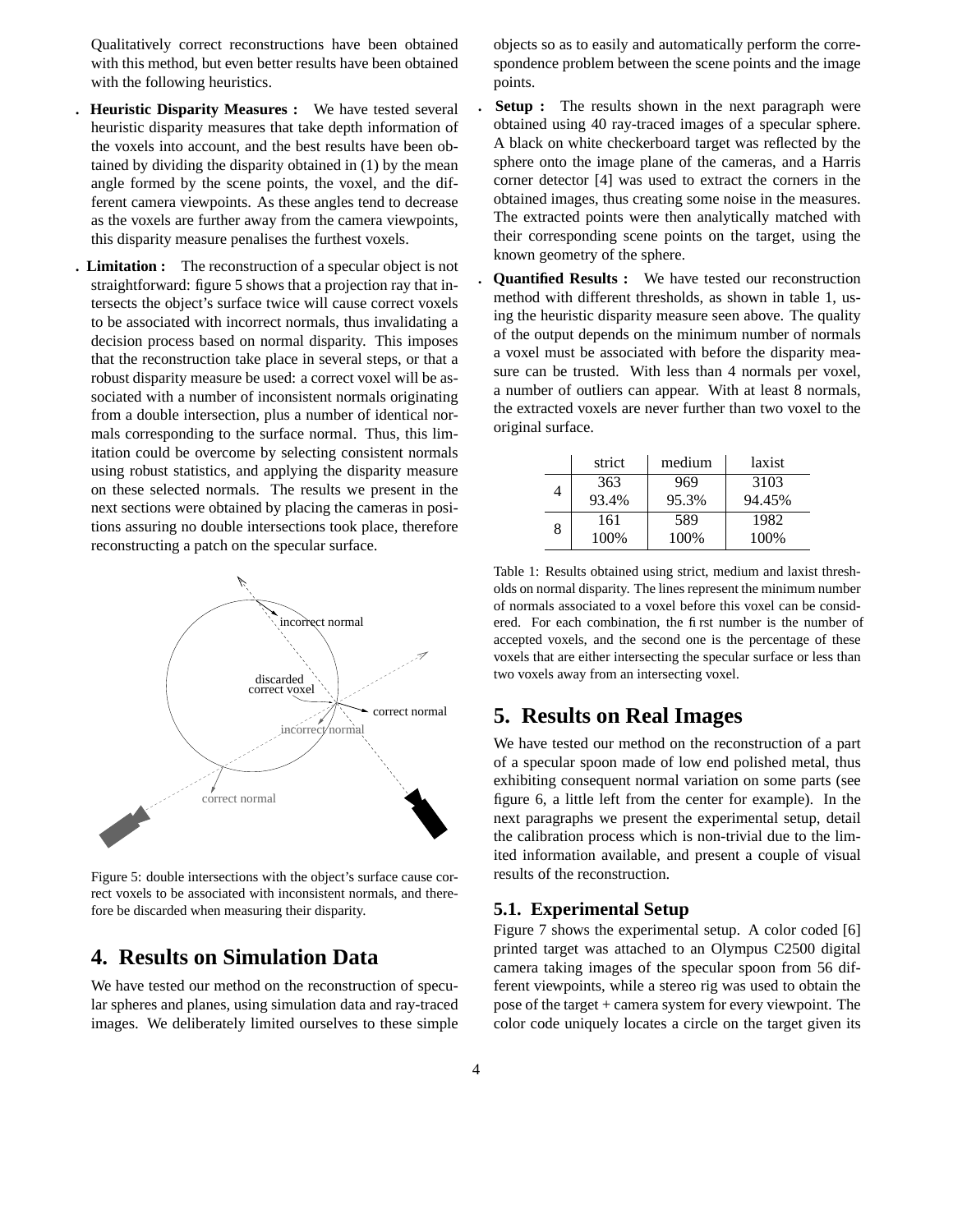Qualitatively correct reconstructions have been obtained with this method, but even better results have been obtained with the following heuristics.

- **. Heuristic Disparity Measures :** We have tested several heuristic disparity measures that take depth information of the voxels into account, and the best results have been obtained by dividing the disparity obtained in (1) by the mean angle formed by the scene points, the voxel, and the different camera viewpoints. As these angles tend to decrease as the voxels are further away from the camera viewpoints, this disparity measure penalises the furthest voxels.
- **. Limitation :** The reconstruction of a specular object is not straightforward: figure 5 shows that a projection ray that intersects the object's surface twice will cause correct voxels to be associated with incorrect normals, thus invalidating a decision process based on normal disparity. This imposes that the reconstruction take place in several steps, or that a robust disparity measure be used: a correct voxel will be associated with a number of inconsistent normals originating from a double intersection, plus a number of identical normals corresponding to the surface normal. Thus, this limitation could be overcome by selecting consistent normals using robust statistics, and applying the disparity measure on these selected normals. The results we present in the next sections were obtained by placing the cameras in positions assuring no double intersections took place, therefore reconstructing a patch on the specular surface.



Figure 5: double intersections with the object's surface cause correct voxels to be associated with inconsistent normals, and therefore be discarded when measuring their disparity.

# **4. Results on Simulation Data**

We have tested our method on the reconstruction of specular spheres and planes, using simulation data and ray-traced images. We deliberately limited ourselves to these simple objects so as to easily and automatically perform the correspondence problem between the scene points and the image points.

- **Setup** : The results shown in the next paragraph were obtained using 40 ray-traced images of a specular sphere. A black on white checkerboard target was reflected by the sphere onto the image plane of the cameras, and a Harris corner detector [4] was used to extract the corners in the obtained images, thus creating some noise in the measures. The extracted points were then analytically matched with their corresponding scene points on the target, using the known geometry of the sphere.
- **. Quantified Results :** We have tested our reconstruction method with different thresholds, as shown in table 1, using the heuristic disparity measure seen above. The quality of the output depends on the minimum number of normals a voxel must be associated with before the disparity measure can be trusted. With less than 4 normals per voxel, a number of outliers can appear. With at least 8 normals, the extracted voxels are never further than two voxel to the original surface.

|   | strict | medium | laxist |
|---|--------|--------|--------|
| 4 | 363    | 969    | 3103   |
|   | 93.4%  | 95.3%  | 94.45% |
| 8 | 161    | 589    | 1982   |
|   | 100%   | 100\%  | 100%   |

Table 1: Results obtained using strict, medium and laxist thresholds on normal disparity. The lines represent the minimum number of normals associated to a voxel before this voxel can be considered. For each combination, the first number is the number of accepted voxels, and the second one is the percentage of these voxels that are either intersecting the specular surface or less than two voxels away from an intersecting voxel.

# **5. Results on Real Images**

We have tested our method on the reconstruction of a part of a specular spoon made of low end polished metal, thus exhibiting consequent normal variation on some parts (see figure 6, a little left from the center for example). In the next paragraphs we present the experimental setup, detail the calibration process which is non-trivial due to the limited information available, and present a couple of visual results of the reconstruction.

#### **5.1. Experimental Setup**

Figure 7 shows the experimental setup. A color coded [6] printed target was attached to an Olympus C2500 digital camera taking images of the specular spoon from 56 different viewpoints, while a stereo rig was used to obtain the pose of the target + camera system for every viewpoint. The color code uniquely locates a circle on the target given its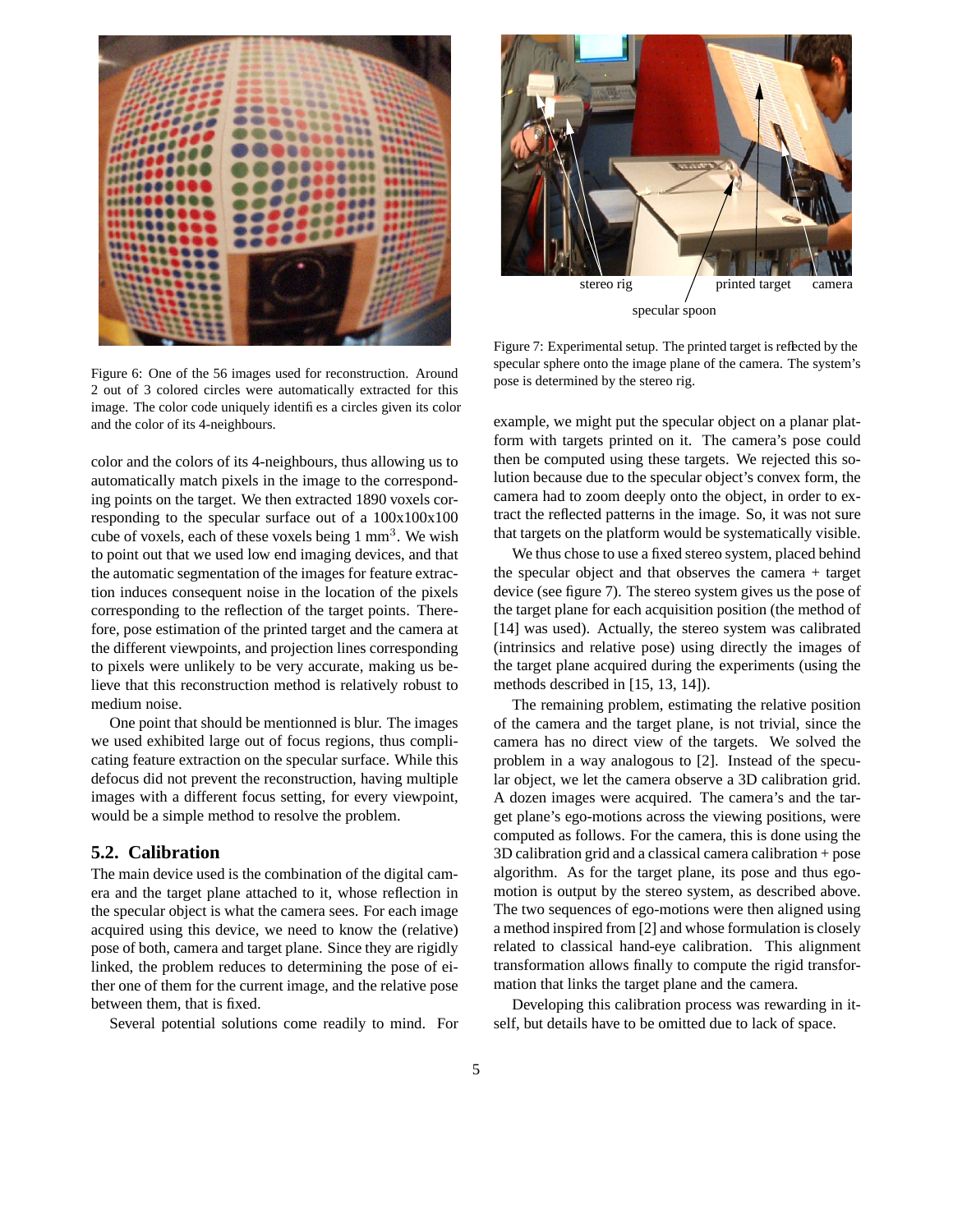

Figure 6: One of the 56 images used for reconstruction. Around 2 out of 3 colored circles were automatically extracted for this image. The color code uniquely identifies a circles given its color and the color of its 4-neighbours.

color and the colors of its 4-neighbours, thus allowing us to automatically match pixels in the image to the corresponding points on the target. We then extracted 1890 voxels corresponding to the specular surface out of a 100x100x100 cube of voxels, each of these voxels being 1 mm<sup>3</sup>. We wish to point out that we used low end imaging devices, and that the automatic segmentation of the images for feature extraction induces consequent noise in the location of the pixels corresponding to the reflection of the target points. Therefore, pose estimation of the printed target and the camera at the different viewpoints, and projection lines corresponding to pixels were unlikely to be very accurate, making us believe that this reconstruction method is relatively robust to medium noise.

One point that should be mentionned is blur. The images we used exhibited large out of focus regions, thus complicating feature extraction on the specular surface. While this defocus did not prevent the reconstruction, having multiple images with a different focus setting, for every viewpoint, would be a simple method to resolve the problem.

#### **5.2. Calibration**

The main device used is the combination of the digital camera and the target plane attached to it, whose reflection in the specular object is what the camera sees. For each image acquired using this device, we need to know the (relative) pose of both, camera and target plane. Since they are rigidly linked, the problem reduces to determining the pose of either one of them for the current image, and the relative pose between them, that is fixed.

Several potential solutions come readily to mind. For



Figure 7: Experimental setup. The printed target is reflected by the specular sphere onto the image plane of the camera. The system's pose is determined by the stereo rig.

example, we might put the specular object on a planar platform with targets printed on it. The camera's pose could then be computed using these targets. We rejected this solution because due to the specular object's convex form, the camera had to zoom deeply onto the object, in order to extract the reflected patterns in the image. So, it was not sure that targets on the platform would be systematically visible.

We thus chose to use a fixed stereo system, placed behind the specular object and that observes the camera + target device (see figure 7). The stereo system gives us the pose of the target plane for each acquisition position (the method of [14] was used). Actually, the stereo system was calibrated (intrinsics and relative pose) using directly the images of the target plane acquired during the experiments (using the methods described in [15, 13, 14]).

The remaining problem, estimating the relative position of the camera and the target plane, is not trivial, since the camera has no direct view of the targets. We solved the problem in a way analogous to [2]. Instead of the specular object, we let the camera observe a 3D calibration grid. A dozen images were acquired. The camera's and the target plane's ego-motions across the viewing positions, were computed as follows. For the camera, this is done using the 3D calibration grid and a classical camera calibration + pose algorithm. As for the target plane, its pose and thus egomotion is output by the stereo system, as described above. The two sequences of ego-motions were then aligned using a method inspired from [2] and whose formulation is closely related to classical hand-eye calibration. This alignment transformation allows finally to compute the rigid transformation that links the target plane and the camera.

Developing this calibration process was rewarding in itself, but details have to be omitted due to lack of space.